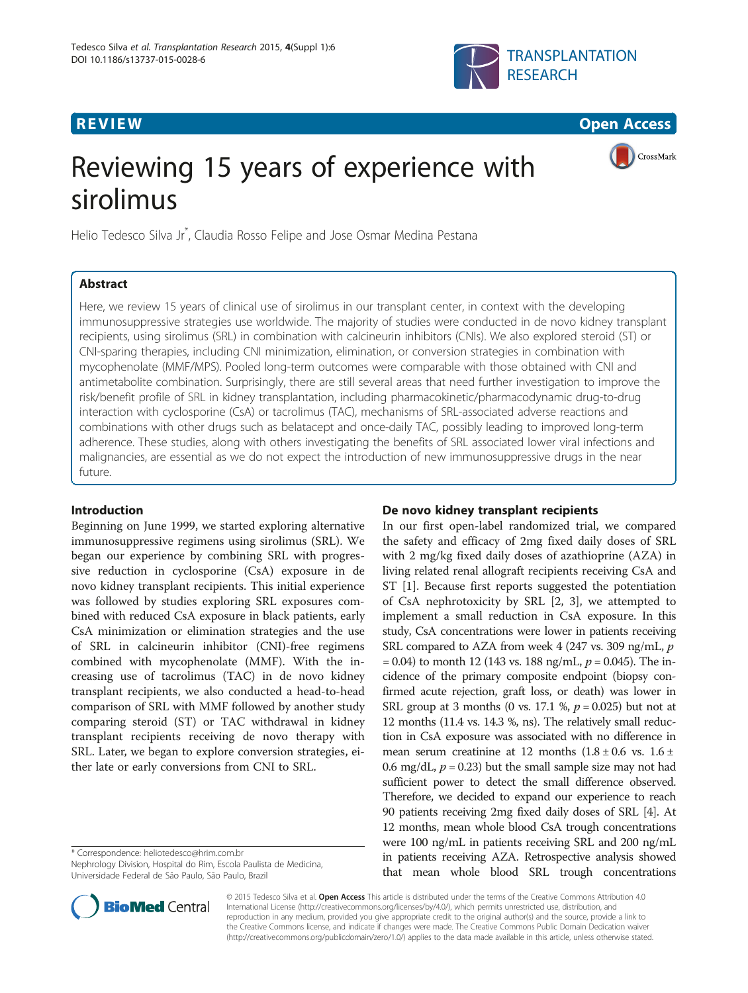



CrossMark

# Reviewing 15 years of experience with sirolimus

Helio Tedesco Silva Jr\* , Claudia Rosso Felipe and Jose Osmar Medina Pestana

# Abstract

Here, we review 15 years of clinical use of sirolimus in our transplant center, in context with the developing immunosuppressive strategies use worldwide. The majority of studies were conducted in de novo kidney transplant recipients, using sirolimus (SRL) in combination with calcineurin inhibitors (CNIs). We also explored steroid (ST) or CNI-sparing therapies, including CNI minimization, elimination, or conversion strategies in combination with mycophenolate (MMF/MPS). Pooled long-term outcomes were comparable with those obtained with CNI and antimetabolite combination. Surprisingly, there are still several areas that need further investigation to improve the risk/benefit profile of SRL in kidney transplantation, including pharmacokinetic/pharmacodynamic drug-to-drug interaction with cyclosporine (CsA) or tacrolimus (TAC), mechanisms of SRL-associated adverse reactions and combinations with other drugs such as belatacept and once-daily TAC, possibly leading to improved long-term adherence. These studies, along with others investigating the benefits of SRL associated lower viral infections and malignancies, are essential as we do not expect the introduction of new immunosuppressive drugs in the near future.

# Introduction

Beginning on June 1999, we started exploring alternative immunosuppressive regimens using sirolimus (SRL). We began our experience by combining SRL with progressive reduction in cyclosporine (CsA) exposure in de novo kidney transplant recipients. This initial experience was followed by studies exploring SRL exposures combined with reduced CsA exposure in black patients, early CsA minimization or elimination strategies and the use of SRL in calcineurin inhibitor (CNI)-free regimens combined with mycophenolate (MMF). With the increasing use of tacrolimus (TAC) in de novo kidney transplant recipients, we also conducted a head-to-head comparison of SRL with MMF followed by another study comparing steroid (ST) or TAC withdrawal in kidney transplant recipients receiving de novo therapy with SRL. Later, we began to explore conversion strategies, either late or early conversions from CNI to SRL.

\* Correspondence: [heliotedesco@hrim.com.br](mailto:heliotedesco@hrim.com.br)

Nephrology Division, Hospital do Rim, Escola Paulista de Medicina, Universidade Federal de São Paulo, São Paulo, Brazil



In our first open-label randomized trial, we compared the safety and efficacy of 2mg fixed daily doses of SRL with 2 mg/kg fixed daily doses of azathioprine (AZA) in living related renal allograft recipients receiving CsA and ST [[1](#page-4-0)]. Because first reports suggested the potentiation of CsA nephrotoxicity by SRL [[2, 3](#page-4-0)], we attempted to implement a small reduction in CsA exposure. In this study, CsA concentrations were lower in patients receiving SRL compared to AZA from week 4 (247 vs. 309 ng/mL,  $p$ )  $= 0.04$ ) to month 12 (143 vs. 188 ng/mL,  $p = 0.045$ ). The incidence of the primary composite endpoint (biopsy confirmed acute rejection, graft loss, or death) was lower in SRL group at 3 months (0 vs. 17.1 %,  $p = 0.025$ ) but not at 12 months (11.4 vs. 14.3 %, ns). The relatively small reduction in CsA exposure was associated with no difference in mean serum creatinine at 12 months  $(1.8 \pm 0.6 \text{ vs. } 1.6 \pm \text{)}$ 0.6 mg/dL,  $p = 0.23$ ) but the small sample size may not had sufficient power to detect the small difference observed. Therefore, we decided to expand our experience to reach 90 patients receiving 2mg fixed daily doses of SRL [\[4](#page-4-0)]. At 12 months, mean whole blood CsA trough concentrations were 100 ng/mL in patients receiving SRL and 200 ng/mL in patients receiving AZA. Retrospective analysis showed that mean whole blood SRL trough concentrations



© 2015 Tedesco Silva et al. Open Access This article is distributed under the terms of the Creative Commons Attribution 4.0 International License [\(http://creativecommons.org/licenses/by/4.0/](http://creativecommons.org/licenses/by/4.0/)), which permits unrestricted use, distribution, and reproduction in any medium, provided you give appropriate credit to the original author(s) and the source, provide a link to the Creative Commons license, and indicate if changes were made. The Creative Commons Public Domain Dedication waiver [\(http://creativecommons.org/publicdomain/zero/1.0/](http://creativecommons.org/publicdomain/zero/1.0/)) applies to the data made available in this article, unless otherwise stated.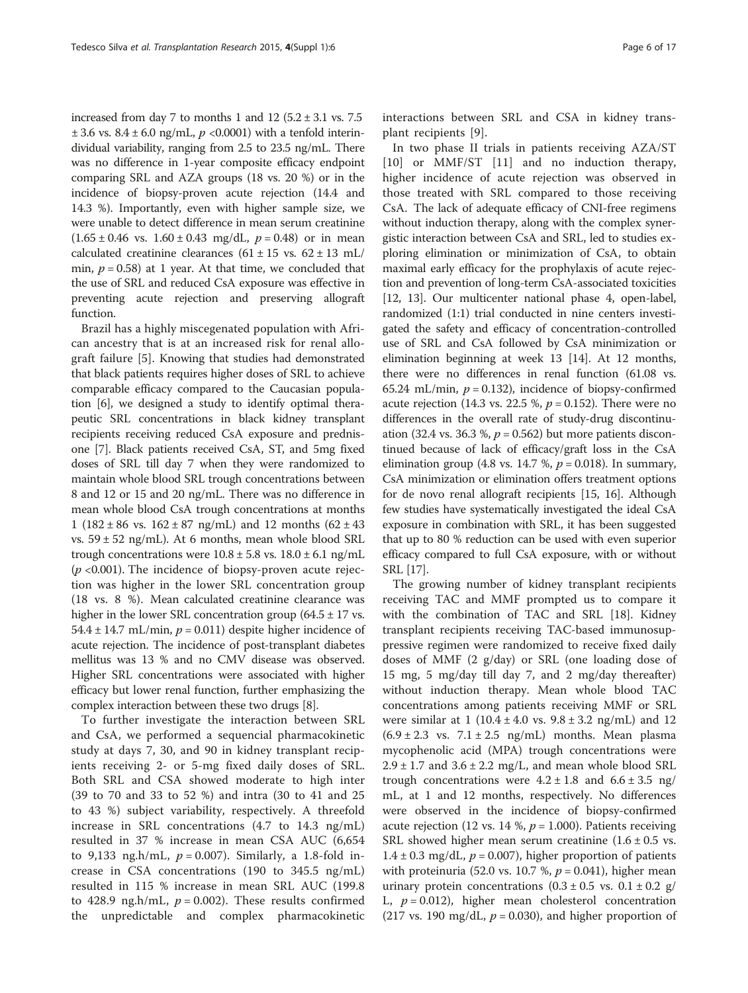increased from day 7 to months 1 and 12  $(5.2 \pm 3.1 \text{ vs. } 7.5)$  $\pm$  3.6 vs. 8.4  $\pm$  6.0 ng/mL, p < 0.0001) with a tenfold interindividual variability, ranging from 2.5 to 23.5 ng/mL. There was no difference in 1-year composite efficacy endpoint comparing SRL and AZA groups (18 vs. 20 %) or in the incidence of biopsy-proven acute rejection (14.4 and 14.3 %). Importantly, even with higher sample size, we were unable to detect difference in mean serum creatinine  $(1.65 \pm 0.46 \text{ vs. } 1.60 \pm 0.43 \text{ mg/dL}, p = 0.48) \text{ or in mean}$ calculated creatinine clearances ( $61 \pm 15$  vs.  $62 \pm 13$  mL/ min,  $p = 0.58$ ) at 1 year. At that time, we concluded that the use of SRL and reduced CsA exposure was effective in preventing acute rejection and preserving allograft function.

Brazil has a highly miscegenated population with African ancestry that is at an increased risk for renal allograft failure [[5\]](#page-4-0). Knowing that studies had demonstrated that black patients requires higher doses of SRL to achieve comparable efficacy compared to the Caucasian population [\[6](#page-4-0)], we designed a study to identify optimal therapeutic SRL concentrations in black kidney transplant recipients receiving reduced CsA exposure and prednisone [\[7](#page-5-0)]. Black patients received CsA, ST, and 5mg fixed doses of SRL till day 7 when they were randomized to maintain whole blood SRL trough concentrations between 8 and 12 or 15 and 20 ng/mL. There was no difference in mean whole blood CsA trough concentrations at months 1 (182  $\pm$  86 vs. 162  $\pm$  87 ng/mL) and 12 months (62  $\pm$  43 vs. 59 ± 52 ng/mL). At 6 months, mean whole blood SRL trough concentrations were  $10.8 \pm 5.8$  vs.  $18.0 \pm 6.1$  ng/mL  $(p \le 0.001)$ . The incidence of biopsy-proven acute rejection was higher in the lower SRL concentration group (18 vs. 8 %). Mean calculated creatinine clearance was higher in the lower SRL concentration group  $(64.5 \pm 17 \text{ vs.})$ 54.4  $\pm$  14.7 mL/min,  $p = 0.011$ ) despite higher incidence of acute rejection. The incidence of post-transplant diabetes mellitus was 13 % and no CMV disease was observed. Higher SRL concentrations were associated with higher efficacy but lower renal function, further emphasizing the complex interaction between these two drugs [[8\]](#page-5-0).

To further investigate the interaction between SRL and CsA, we performed a sequencial pharmacokinetic study at days 7, 30, and 90 in kidney transplant recipients receiving 2- or 5-mg fixed daily doses of SRL. Both SRL and CSA showed moderate to high inter (39 to 70 and 33 to 52 %) and intra (30 to 41 and 25 to 43 %) subject variability, respectively. A threefold increase in SRL concentrations (4.7 to 14.3 ng/mL) resulted in 37 % increase in mean CSA AUC (6,654 to 9,133 ng.h/mL,  $p = 0.007$ ). Similarly, a 1.8-fold increase in CSA concentrations (190 to 345.5 ng/mL) resulted in 115 % increase in mean SRL AUC (199.8 to 428.9 ng.h/mL,  $p = 0.002$ ). These results confirmed the unpredictable and complex pharmacokinetic interactions between SRL and CSA in kidney transplant recipients [[9\]](#page-5-0).

In two phase II trials in patients receiving AZA/ST [[10\]](#page-5-0) or MMF/ST [\[11](#page-5-0)] and no induction therapy, higher incidence of acute rejection was observed in those treated with SRL compared to those receiving CsA. The lack of adequate efficacy of CNI-free regimens without induction therapy, along with the complex synergistic interaction between CsA and SRL, led to studies exploring elimination or minimization of CsA, to obtain maximal early efficacy for the prophylaxis of acute rejection and prevention of long-term CsA-associated toxicities [[12](#page-5-0), [13](#page-5-0)]. Our multicenter national phase 4, open-label, randomized (1:1) trial conducted in nine centers investigated the safety and efficacy of concentration-controlled use of SRL and CsA followed by CsA minimization or elimination beginning at week 13 [[14](#page-5-0)]. At 12 months, there were no differences in renal function (61.08 vs. 65.24 mL/min,  $p = 0.132$ ), incidence of biopsy-confirmed acute rejection (14.3 vs. 22.5 %,  $p = 0.152$ ). There were no differences in the overall rate of study-drug discontinuation (32.4 vs. 36.3 %,  $p = 0.562$ ) but more patients discontinued because of lack of efficacy/graft loss in the CsA elimination group (4.8 vs. 14.7 %,  $p = 0.018$ ). In summary, CsA minimization or elimination offers treatment options for de novo renal allograft recipients [[15](#page-5-0), [16](#page-5-0)]. Although few studies have systematically investigated the ideal CsA exposure in combination with SRL, it has been suggested that up to 80 % reduction can be used with even superior efficacy compared to full CsA exposure, with or without SRL [[17](#page-5-0)].

The growing number of kidney transplant recipients receiving TAC and MMF prompted us to compare it with the combination of TAC and SRL [\[18](#page-5-0)]. Kidney transplant recipients receiving TAC-based immunosuppressive regimen were randomized to receive fixed daily doses of MMF (2 g/day) or SRL (one loading dose of 15 mg, 5 mg/day till day 7, and 2 mg/day thereafter) without induction therapy. Mean whole blood TAC concentrations among patients receiving MMF or SRL were similar at 1 (10.4  $\pm$  4.0 vs. 9.8  $\pm$  3.2 ng/mL) and 12  $(6.9 \pm 2.3 \text{ vs. } 7.1 \pm 2.5 \text{ ng/mL})$  months. Mean plasma mycophenolic acid (MPA) trough concentrations were  $2.9 \pm 1.7$  and  $3.6 \pm 2.2$  mg/L, and mean whole blood SRL trough concentrations were  $4.2 \pm 1.8$  and  $6.6 \pm 3.5$  ng/ mL, at 1 and 12 months, respectively. No differences were observed in the incidence of biopsy-confirmed acute rejection (12 vs. 14 %,  $p = 1.000$ ). Patients receiving SRL showed higher mean serum creatinine  $(1.6 \pm 0.5 \text{ vs.})$  $1.4 \pm 0.3$  mg/dL,  $p = 0.007$ ), higher proportion of patients with proteinuria (52.0 vs. 10.7 %,  $p = 0.041$ ), higher mean urinary protein concentrations  $(0.3 \pm 0.5 \text{ vs. } 0.1 \pm 0.2 \text{ g})$ L,  $p = 0.012$ ), higher mean cholesterol concentration (217 vs. 190 mg/dL,  $p = 0.030$ ), and higher proportion of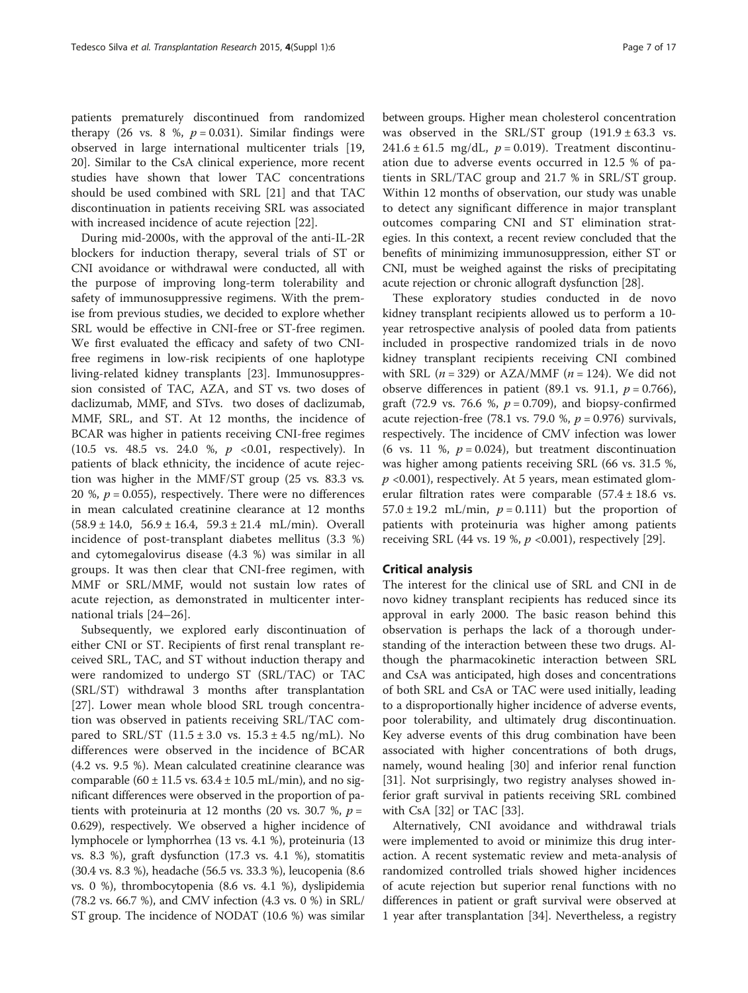patients prematurely discontinued from randomized therapy (26 vs. 8 %,  $p = 0.031$ ). Similar findings were observed in large international multicenter trials [[19](#page-5-0), [20\]](#page-5-0). Similar to the CsA clinical experience, more recent studies have shown that lower TAC concentrations should be used combined with SRL [[21\]](#page-5-0) and that TAC discontinuation in patients receiving SRL was associated with increased incidence of acute rejection [[22\]](#page-5-0).

During mid-2000s, with the approval of the anti-IL-2R blockers for induction therapy, several trials of ST or CNI avoidance or withdrawal were conducted, all with the purpose of improving long-term tolerability and safety of immunosuppressive regimens. With the premise from previous studies, we decided to explore whether SRL would be effective in CNI-free or ST-free regimen. We first evaluated the efficacy and safety of two CNIfree regimens in low-risk recipients of one haplotype living-related kidney transplants [[23\]](#page-5-0). Immunosuppression consisted of TAC, AZA, and ST vs. two doses of daclizumab, MMF, and STvs. two doses of daclizumab, MMF, SRL, and ST. At 12 months, the incidence of BCAR was higher in patients receiving CNI-free regimes  $(10.5 \text{ vs. } 48.5 \text{ vs. } 24.0 \% \text{ , } p \leq 0.01, \text{ respectively}).$  In patients of black ethnicity, the incidence of acute rejection was higher in the MMF/ST group (25 vs. 83.3 vs. 20 %,  $p = 0.055$ ), respectively. There were no differences in mean calculated creatinine clearance at 12 months  $(58.9 \pm 14.0, 56.9 \pm 16.4, 59.3 \pm 21.4 \text{ mL/min})$ . Overall incidence of post-transplant diabetes mellitus (3.3 %) and cytomegalovirus disease (4.3 %) was similar in all groups. It was then clear that CNI-free regimen, with MMF or SRL/MMF, would not sustain low rates of acute rejection, as demonstrated in multicenter international trials [\[24](#page-5-0)–[26](#page-5-0)].

Subsequently, we explored early discontinuation of either CNI or ST. Recipients of first renal transplant received SRL, TAC, and ST without induction therapy and were randomized to undergo ST (SRL/TAC) or TAC (SRL/ST) withdrawal 3 months after transplantation [[27\]](#page-5-0). Lower mean whole blood SRL trough concentration was observed in patients receiving SRL/TAC compared to SRL/ST  $(11.5 \pm 3.0 \text{ vs. } 15.3 \pm 4.5 \text{ ng/mL})$ . No differences were observed in the incidence of BCAR (4.2 vs. 9.5 %). Mean calculated creatinine clearance was comparable (60  $\pm$  11.5 vs. 63.4  $\pm$  10.5 mL/min), and no significant differences were observed in the proportion of patients with proteinuria at 12 months (20 vs. 30.7 %,  $p =$ 0.629), respectively. We observed a higher incidence of lymphocele or lymphorrhea (13 vs. 4.1 %), proteinuria (13 vs. 8.3 %), graft dysfunction (17.3 vs. 4.1 %), stomatitis (30.4 vs. 8.3 %), headache (56.5 vs. 33.3 %), leucopenia (8.6 vs. 0 %), thrombocytopenia (8.6 vs. 4.1 %), dyslipidemia (78.2 vs. 66.7 %), and CMV infection (4.3 vs. 0 %) in SRL/ ST group. The incidence of NODAT (10.6 %) was similar between groups. Higher mean cholesterol concentration was observed in the SRL/ST group  $(191.9 \pm 63.3 \text{ vs.})$ 241.6  $\pm$  61.5 mg/dL,  $p = 0.019$ ). Treatment discontinuation due to adverse events occurred in 12.5 % of patients in SRL/TAC group and 21.7 % in SRL/ST group. Within 12 months of observation, our study was unable to detect any significant difference in major transplant outcomes comparing CNI and ST elimination strategies. In this context, a recent review concluded that the benefits of minimizing immunosuppression, either ST or CNI, must be weighed against the risks of precipitating acute rejection or chronic allograft dysfunction [\[28\]](#page-5-0).

These exploratory studies conducted in de novo kidney transplant recipients allowed us to perform a 10 year retrospective analysis of pooled data from patients included in prospective randomized trials in de novo kidney transplant recipients receiving CNI combined with SRL ( $n = 329$ ) or AZA/MMF ( $n = 124$ ). We did not observe differences in patient (89.1 vs. 91.1,  $p = 0.766$ ), graft (72.9 vs. 76.6 %,  $p = 0.709$ ), and biopsy-confirmed acute rejection-free (78.1 vs. 79.0 %,  $p = 0.976$ ) survivals, respectively. The incidence of CMV infection was lower (6 vs. 11 %,  $p = 0.024$ ), but treatment discontinuation was higher among patients receiving SRL (66 vs. 31.5 %,  $p$  <0.001), respectively. At 5 years, mean estimated glomerular filtration rates were comparable (57.4 ± 18.6 vs.  $57.0 \pm 19.2$  mL/min,  $p = 0.111$ ) but the proportion of patients with proteinuria was higher among patients receiving SRL (44 vs. 19 %,  $p$  <0.001), respectively [[29\]](#page-5-0).

# Critical analysis

The interest for the clinical use of SRL and CNI in de novo kidney transplant recipients has reduced since its approval in early 2000. The basic reason behind this observation is perhaps the lack of a thorough understanding of the interaction between these two drugs. Although the pharmacokinetic interaction between SRL and CsA was anticipated, high doses and concentrations of both SRL and CsA or TAC were used initially, leading to a disproportionally higher incidence of adverse events, poor tolerability, and ultimately drug discontinuation. Key adverse events of this drug combination have been associated with higher concentrations of both drugs, namely, wound healing [\[30\]](#page-5-0) and inferior renal function [[31\]](#page-5-0). Not surprisingly, two registry analyses showed inferior graft survival in patients receiving SRL combined with CsA [\[32\]](#page-5-0) or TAC [\[33](#page-5-0)].

Alternatively, CNI avoidance and withdrawal trials were implemented to avoid or minimize this drug interaction. A recent systematic review and meta-analysis of randomized controlled trials showed higher incidences of acute rejection but superior renal functions with no differences in patient or graft survival were observed at 1 year after transplantation [[34\]](#page-5-0). Nevertheless, a registry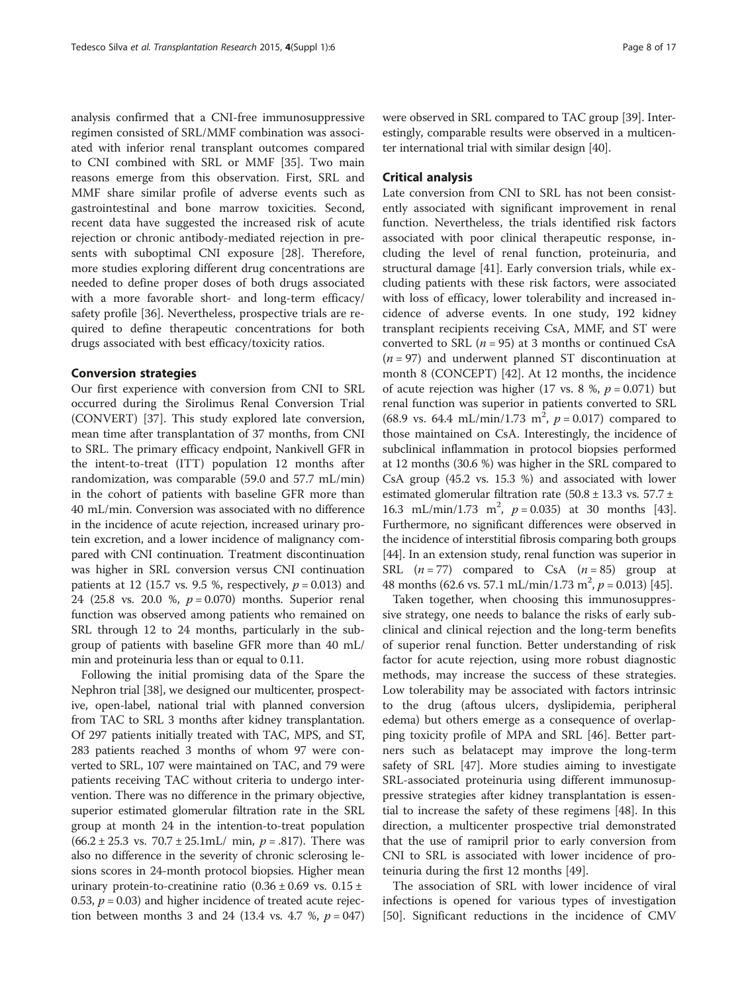analysis confirmed that a CNI-free immunosuppressive regimen consisted of SRL/MMF combination was associated with inferior renal transplant outcomes compared to CNI combined with SRL or MMF [[35](#page-5-0)]. Two main reasons emerge from this observation. First, SRL and MMF share similar profile of adverse events such as gastrointestinal and bone marrow toxicities. Second, recent data have suggested the increased risk of acute rejection or chronic antibody-mediated rejection in presents with suboptimal CNI exposure [\[28\]](#page-5-0). Therefore, more studies exploring different drug concentrations are needed to define proper doses of both drugs associated with a more favorable short- and long-term efficacy/ safety profile [\[36](#page-5-0)]. Nevertheless, prospective trials are required to define therapeutic concentrations for both drugs associated with best efficacy/toxicity ratios.

# Conversion strategies

Our first experience with conversion from CNI to SRL occurred during the Sirolimus Renal Conversion Trial (CONVERT) [\[37](#page-5-0)]. This study explored late conversion, mean time after transplantation of 37 months, from CNI to SRL. The primary efficacy endpoint, Nankivell GFR in the intent-to-treat (ITT) population 12 months after randomization, was comparable (59.0 and 57.7 mL/min) in the cohort of patients with baseline GFR more than 40 mL/min. Conversion was associated with no difference in the incidence of acute rejection, increased urinary protein excretion, and a lower incidence of malignancy compared with CNI continuation. Treatment discontinuation was higher in SRL conversion versus CNI continuation patients at 12 (15.7 vs. 9.5 %, respectively,  $p = 0.013$ ) and 24 (25.8 vs. 20.0 %,  $p = 0.070$ ) months. Superior renal function was observed among patients who remained on SRL through 12 to 24 months, particularly in the subgroup of patients with baseline GFR more than 40 mL/ min and proteinuria less than or equal to 0.11.

Following the initial promising data of the Spare the Nephron trial [\[38\]](#page-5-0), we designed our multicenter, prospective, open-label, national trial with planned conversion from TAC to SRL 3 months after kidney transplantation. Of 297 patients initially treated with TAC, MPS, and ST, 283 patients reached 3 months of whom 97 were converted to SRL, 107 were maintained on TAC, and 79 were patients receiving TAC without criteria to undergo intervention. There was no difference in the primary objective, superior estimated glomerular filtration rate in the SRL group at month 24 in the intention-to-treat population  $(66.2 \pm 25.3 \text{ vs. } 70.7 \pm 25.1 \text{mL} / \text{ min}, p = .817)$ . There was also no difference in the severity of chronic sclerosing lesions scores in 24-month protocol biopsies. Higher mean urinary protein-to-creatinine ratio  $(0.36 \pm 0.69 \text{ vs. } 0.15 \pm 1.00)$ 0.53,  $p = 0.03$ ) and higher incidence of treated acute rejection between months 3 and 24 (13.4 vs. 4.7 %,  $p = 047$ )

were observed in SRL compared to TAC group [\[39\]](#page-5-0). Interestingly, comparable results were observed in a multicenter international trial with similar design [[40](#page-5-0)].

# Critical analysis

Late conversion from CNI to SRL has not been consistently associated with significant improvement in renal function. Nevertheless, the trials identified risk factors associated with poor clinical therapeutic response, including the level of renal function, proteinuria, and structural damage [\[41\]](#page-5-0). Early conversion trials, while excluding patients with these risk factors, were associated with loss of efficacy, lower tolerability and increased incidence of adverse events. In one study, 192 kidney transplant recipients receiving CsA, MMF, and ST were converted to SRL ( $n = 95$ ) at 3 months or continued CsA  $(n = 97)$  and underwent planned ST discontinuation at month 8 (CONCEPT) [\[42](#page-5-0)]. At 12 months, the incidence of acute rejection was higher (17 vs. 8 %,  $p = 0.071$ ) but renal function was superior in patients converted to SRL (68.9 vs. 64.4 mL/min/1.73 m<sup>2</sup>,  $p = 0.017$ ) compared to those maintained on CsA. Interestingly, the incidence of subclinical inflammation in protocol biopsies performed at 12 months (30.6 %) was higher in the SRL compared to CsA group (45.2 vs. 15.3 %) and associated with lower estimated glomerular filtration rate ( $50.8 \pm 13.3$  vs.  $57.7 \pm$ 16.3 mL/min/1.73 m<sup>2</sup>,  $p = 0.035$ ) at 30 months [[43](#page-5-0)]. Furthermore, no significant differences were observed in the incidence of interstitial fibrosis comparing both groups [[44](#page-5-0)]. In an extension study, renal function was superior in SRL  $(n = 77)$  compared to CsA  $(n = 85)$  group at 48 months (62.6 vs. 57.1 mL/min/1.73 m<sup>2</sup>,  $p = 0.013$ ) [[45\]](#page-5-0).

Taken together, when choosing this immunosuppressive strategy, one needs to balance the risks of early subclinical and clinical rejection and the long-term benefits of superior renal function. Better understanding of risk factor for acute rejection, using more robust diagnostic methods, may increase the success of these strategies. Low tolerability may be associated with factors intrinsic to the drug (aftous ulcers, dyslipidemia, peripheral edema) but others emerge as a consequence of overlapping toxicity profile of MPA and SRL [[46\]](#page-5-0). Better partners such as belatacept may improve the long-term safety of SRL [[47\]](#page-6-0). More studies aiming to investigate SRL-associated proteinuria using different immunosuppressive strategies after kidney transplantation is essential to increase the safety of these regimens [[48\]](#page-6-0). In this direction, a multicenter prospective trial demonstrated that the use of ramipril prior to early conversion from CNI to SRL is associated with lower incidence of proteinuria during the first 12 months [[49](#page-6-0)].

The association of SRL with lower incidence of viral infections is opened for various types of investigation [[50\]](#page-6-0). Significant reductions in the incidence of CMV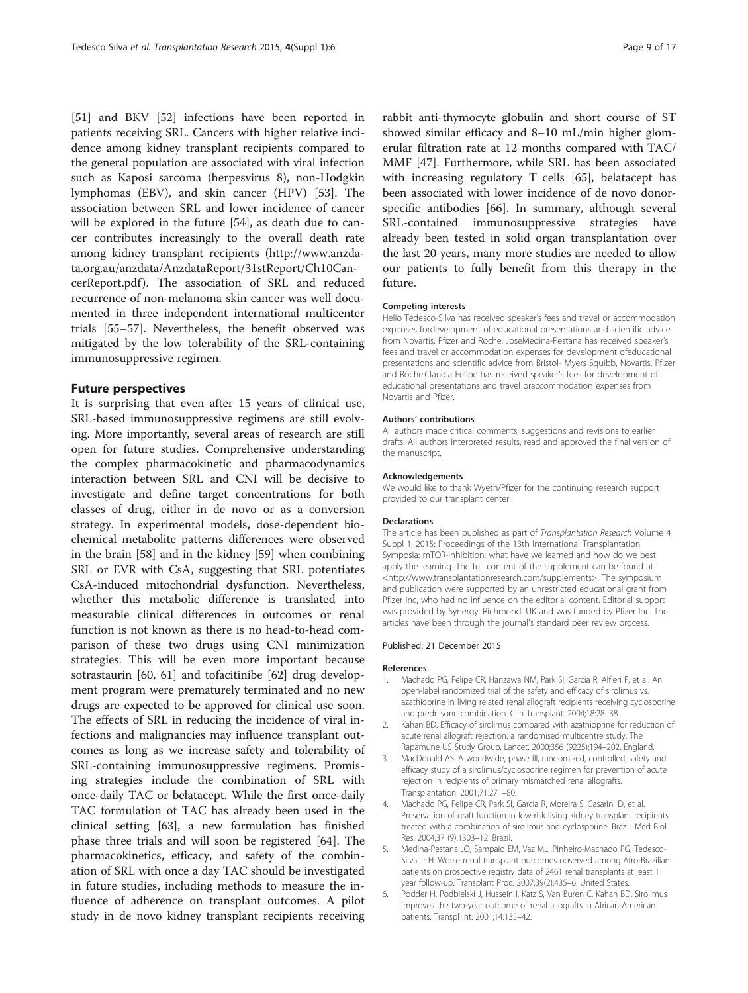<span id="page-4-0"></span>[[51\]](#page-6-0) and BKV [[52\]](#page-6-0) infections have been reported in patients receiving SRL. Cancers with higher relative incidence among kidney transplant recipients compared to the general population are associated with viral infection such as Kaposi sarcoma (herpesvirus 8), non-Hodgkin lymphomas (EBV), and skin cancer (HPV) [\[53](#page-6-0)]. The association between SRL and lower incidence of cancer will be explored in the future [[54\]](#page-6-0), as death due to cancer contributes increasingly to the overall death rate among kidney transplant recipients [\(http://www.anzda](http://www.anzdata.org.au/anzdata/AnzdataReport/31stReport/Ch10CancerReport.pdf)[ta.org.au/anzdata/AnzdataReport/31stReport/Ch10Can](http://www.anzdata.org.au/anzdata/AnzdataReport/31stReport/Ch10CancerReport.pdf)[cerReport.pdf](http://www.anzdata.org.au/anzdata/AnzdataReport/31stReport/Ch10CancerReport.pdf) ). The association of SRL and reduced recurrence of non-melanoma skin cancer was well documented in three independent international multicenter trials [\[55](#page-6-0)–[57](#page-6-0)]. Nevertheless, the benefit observed was mitigated by the low tolerability of the SRL-containing immunosuppressive regimen.

# Future perspectives

It is surprising that even after 15 years of clinical use, SRL-based immunosuppressive regimens are still evolving. More importantly, several areas of research are still open for future studies. Comprehensive understanding the complex pharmacokinetic and pharmacodynamics interaction between SRL and CNI will be decisive to investigate and define target concentrations for both classes of drug, either in de novo or as a conversion strategy. In experimental models, dose-dependent biochemical metabolite patterns differences were observed in the brain [\[58](#page-6-0)] and in the kidney [[59\]](#page-6-0) when combining SRL or EVR with CsA, suggesting that SRL potentiates CsA-induced mitochondrial dysfunction. Nevertheless, whether this metabolic difference is translated into measurable clinical differences in outcomes or renal function is not known as there is no head-to-head comparison of these two drugs using CNI minimization strategies. This will be even more important because sotrastaurin [\[60, 61\]](#page-6-0) and tofacitinibe [\[62\]](#page-6-0) drug development program were prematurely terminated and no new drugs are expected to be approved for clinical use soon. The effects of SRL in reducing the incidence of viral infections and malignancies may influence transplant outcomes as long as we increase safety and tolerability of SRL-containing immunosuppressive regimens. Promising strategies include the combination of SRL with once-daily TAC or belatacept. While the first once-daily TAC formulation of TAC has already been used in the clinical setting [[63](#page-6-0)], a new formulation has finished phase three trials and will soon be registered [\[64\]](#page-6-0). The pharmacokinetics, efficacy, and safety of the combination of SRL with once a day TAC should be investigated in future studies, including methods to measure the influence of adherence on transplant outcomes. A pilot study in de novo kidney transplant recipients receiving

rabbit anti-thymocyte globulin and short course of ST showed similar efficacy and 8–10 mL/min higher glomerular filtration rate at 12 months compared with TAC/ MMF [[47\]](#page-6-0). Furthermore, while SRL has been associated with increasing regulatory T cells [\[65\]](#page-6-0), belatacept has been associated with lower incidence of de novo donorspecific antibodies [\[66](#page-6-0)]. In summary, although several SRL-contained immunosuppressive strategies have already been tested in solid organ transplantation over the last 20 years, many more studies are needed to allow our patients to fully benefit from this therapy in the future.

#### Competing interests

Helio Tedesco-Silva has received speaker's fees and travel or accommodation expenses fordevelopment of educational presentations and scientific advice from Novartis, Pfizer and Roche. JoseMedina-Pestana has received speaker's fees and travel or accommodation expenses for development ofeducational presentations and scientific advice from Bristol- Myers Squibb, Novartis, Pfizer and Roche.Claudia Felipe has received speaker's fees for development of educational presentations and travel oraccommodation expenses from Novartis and Pfizer.

### Authors' contributions

All authors made critical comments, suggestions and revisions to earlier drafts. All authors interpreted results, read and approved the final version of the manuscript.

#### Acknowledgements

We would like to thank Wyeth/Pfizer for the continuing research support provided to our transplant center.

#### Declarations

The article has been published as part of Transplantation Research Volume 4 Suppl 1, 2015: Proceedings of the 13th International Transplantation Symposia: mTOR-inhibition: what have we learned and how do we best apply the learning. The full content of the supplement can be found at [<http://www.transplantationresearch.com/supplements](http://www.transplantationresearch.com/supplements)>. The symposium and publication were supported by an unrestricted educational grant from Pfizer Inc, who had no influence on the editorial content. Editorial support was provided by Synergy, Richmond, UK and was funded by Pfizer Inc. The articles have been through the journal's standard peer review process.

#### Published: 21 December 2015

#### References

- 1. Machado PG, Felipe CR, Hanzawa NM, Park SI, Garcia R, Alfieri F, et al. An open-label randomized trial of the safety and efficacy of sirolimus vs. azathioprine in living related renal allograft recipients receiving cyclosporine and prednisone combination. Clin Transplant. 2004;18:28–38.
- 2. Kahan BD. Efficacy of sirolimus compared with azathioprine for reduction of acute renal allograft rejection: a randomised multicentre study. The Rapamune US Study Group. Lancet. 2000;356 (9225):194–202. England.
- 3. MacDonald AS. A worldwide, phase III, randomized, controlled, safety and efficacy study of a sirolimus/cyclosporine regimen for prevention of acute rejection in recipients of primary mismatched renal allografts. Transplantation. 2001;71:271–80.
- 4. Machado PG, Felipe CR, Park SI, Garcia R, Moreira S, Casarini D, et al. Preservation of graft function in low-risk living kidney transplant recipients treated with a combination of sirolimus and cyclosporine. Braz J Med Biol Res. 2004;37 (9):1303–12. Brazil.
- 5. Medina-Pestana JO, Sampaio EM, Vaz ML, Pinheiro-Machado PG, Tedesco-Silva Jr H. Worse renal transplant outcomes observed among Afro-Brazilian patients on prospective registry data of 2461 renal transplants at least 1 year follow-up. Transplant Proc. 2007;39(2):435–6. United States.
- 6. Podder H, Podbielski J, Hussein I, Katz S, Van Buren C, Kahan BD. Sirolimus improves the two-year outcome of renal allografts in African-American patients. Transpl Int. 2001;14:135–42.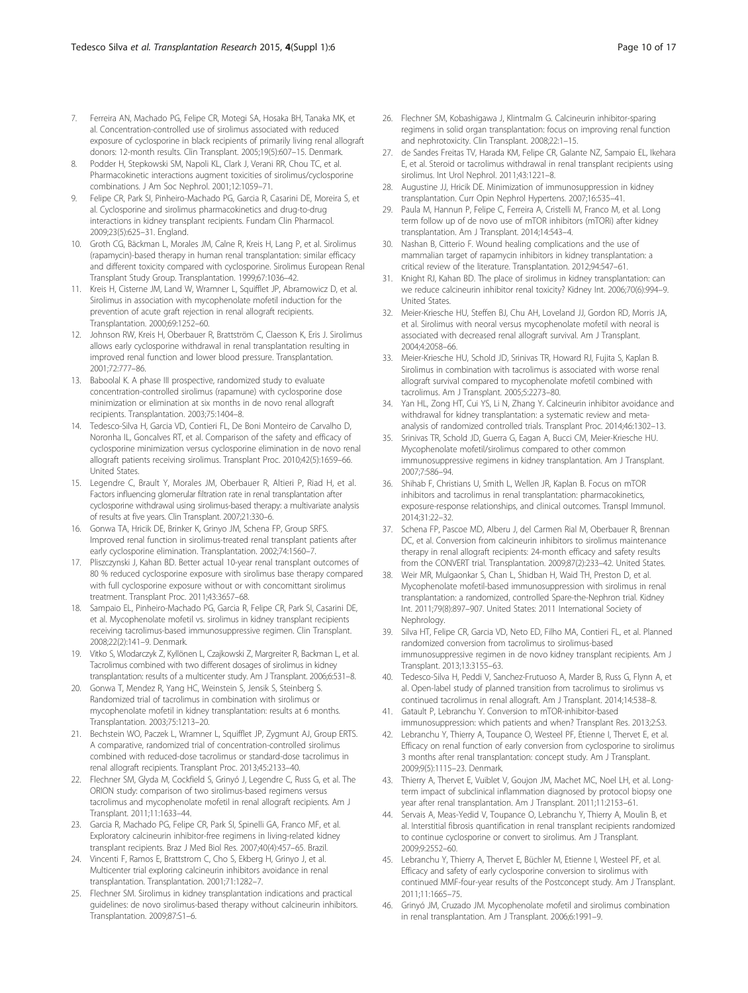- <span id="page-5-0"></span>7. Ferreira AN, Machado PG, Felipe CR, Motegi SA, Hosaka BH, Tanaka MK, et al. Concentration-controlled use of sirolimus associated with reduced exposure of cyclosporine in black recipients of primarily living renal allograft donors: 12-month results. Clin Transplant. 2005;19(5):607–15. Denmark.
- 8. Podder H, Stepkowski SM, Napoli KL, Clark J, Verani RR, Chou TC, et al. Pharmacokinetic interactions augment toxicities of sirolimus/cyclosporine combinations. J Am Soc Nephrol. 2001;12:1059–71.
- 9. Felipe CR, Park SI, Pinheiro-Machado PG, Garcia R, Casarini DE, Moreira S, et al. Cyclosporine and sirolimus pharmacokinetics and drug-to-drug interactions in kidney transplant recipients. Fundam Clin Pharmacol. 2009;23(5):625–31. England.
- 10. Groth CG, Bäckman L, Morales JM, Calne R, Kreis H, Lang P, et al. Sirolimus (rapamycin)-based therapy in human renal transplantation: similar efficacy and different toxicity compared with cyclosporine. Sirolimus European Renal Transplant Study Group. Transplantation. 1999;67:1036–42.
- 11. Kreis H, Cisterne JM, Land W, Wramner L, Squifflet JP, Abramowicz D, et al. Sirolimus in association with mycophenolate mofetil induction for the prevention of acute graft rejection in renal allograft recipients. Transplantation. 2000;69:1252–60.
- 12. Johnson RW, Kreis H, Oberbauer R, Brattström C, Claesson K, Eris J. Sirolimus allows early cyclosporine withdrawal in renal transplantation resulting in improved renal function and lower blood pressure. Transplantation. 2001;72:777–86.
- 13. Baboolal K. A phase III prospective, randomized study to evaluate concentration-controlled sirolimus (rapamune) with cyclosporine dose minimization or elimination at six months in de novo renal allograft recipients. Transplantation. 2003;75:1404–8.
- 14. Tedesco-Silva H, Garcia VD, Contieri FL, De Boni Monteiro de Carvalho D, Noronha IL, Goncalves RT, et al. Comparison of the safety and efficacy of cyclosporine minimization versus cyclosporine elimination in de novo renal allograft patients receiving sirolimus. Transplant Proc. 2010;42(5):1659–66. United States.
- 15. Legendre C, Brault Y, Morales JM, Oberbauer R, Altieri P, Riad H, et al. Factors influencing glomerular filtration rate in renal transplantation after cyclosporine withdrawal using sirolimus-based therapy: a multivariate analysis of results at five years. Clin Transplant. 2007;21:330–6.
- 16. Gonwa TA, Hricik DE, Brinker K, Grinyo JM, Schena FP, Group SRFS. Improved renal function in sirolimus-treated renal transplant patients after early cyclosporine elimination. Transplantation. 2002;74:1560–7.
- 17. Pliszczynski J, Kahan BD. Better actual 10-year renal transplant outcomes of 80 % reduced cyclosporine exposure with sirolimus base therapy compared with full cyclosporine exposure without or with concomittant sirolimus treatment. Transplant Proc. 2011;43:3657–68.
- 18. Sampaio EL, Pinheiro-Machado PG, Garcia R, Felipe CR, Park SI, Casarini DE, et al. Mycophenolate mofetil vs. sirolimus in kidney transplant recipients receiving tacrolimus-based immunosuppressive regimen. Clin Transplant. 2008;22(2):141–9. Denmark.
- 19. Vitko S, Wlodarczyk Z, Kyllönen L, Czajkowski Z, Margreiter R, Backman L, et al. Tacrolimus combined with two different dosages of sirolimus in kidney transplantation: results of a multicenter study. Am J Transplant. 2006;6:531–8.
- 20. Gonwa T, Mendez R, Yang HC, Weinstein S, Jensik S, Steinberg S. Randomized trial of tacrolimus in combination with sirolimus or mycophenolate mofetil in kidney transplantation: results at 6 months. Transplantation. 2003;75:1213–20.
- 21. Bechstein WO, Paczek L, Wramner L, Squifflet JP, Zygmunt AJ, Group ERTS. A comparative, randomized trial of concentration-controlled sirolimus combined with reduced-dose tacrolimus or standard-dose tacrolimus in renal allograft recipients. Transplant Proc. 2013;45:2133–40.
- 22. Flechner SM, Glyda M, Cockfield S, Grinyó J, Legendre C, Russ G, et al. The ORION study: comparison of two sirolimus-based regimens versus tacrolimus and mycophenolate mofetil in renal allograft recipients. Am J Transplant. 2011;11:1633–44.
- 23. Garcia R, Machado PG, Felipe CR, Park SI, Spinelli GA, Franco MF, et al. Exploratory calcineurin inhibitor-free regimens in living-related kidney transplant recipients. Braz J Med Biol Res. 2007;40(4):457–65. Brazil.
- 24. Vincenti F, Ramos E, Brattstrom C, Cho S, Ekberg H, Grinyo J, et al. Multicenter trial exploring calcineurin inhibitors avoidance in renal transplantation. Transplantation. 2001;71:1282–7.
- 25. Flechner SM. Sirolimus in kidney transplantation indications and practical guidelines: de novo sirolimus-based therapy without calcineurin inhibitors. Transplantation. 2009;87:S1–6.
- 26. Flechner SM, Kobashigawa J, Klintmalm G. Calcineurin inhibitor-sparing regimens in solid organ transplantation: focus on improving renal function and nephrotoxicity. Clin Transplant. 2008;22:1–15.
- 27. de Sandes Freitas TV, Harada KM, Felipe CR, Galante NZ, Sampaio EL, Ikehara E, et al. Steroid or tacrolimus withdrawal in renal transplant recipients using sirolimus. Int Urol Nephrol. 2011;43:1221–8.
- 28. Augustine JJ, Hricik DE. Minimization of immunosuppression in kidney transplantation. Curr Opin Nephrol Hypertens. 2007;16:535–41.
- 29. Paula M, Hannun P, Felipe C, Ferreira A, Cristelli M, Franco M, et al. Long term follow up of de novo use of mTOR inhibitors (mTORi) after kidney transplantation. Am J Transplant. 2014;14:543–4.
- 30. Nashan B, Citterio F. Wound healing complications and the use of mammalian target of rapamycin inhibitors in kidney transplantation: a critical review of the literature. Transplantation. 2012;94:547–61.
- 31. Knight RJ, Kahan BD. The place of sirolimus in kidney transplantation: can we reduce calcineurin inhibitor renal toxicity? Kidney Int. 2006;70(6):994–9. United States.
- 32. Meier-Kriesche HU, Steffen BJ, Chu AH, Loveland JJ, Gordon RD, Morris JA, et al. Sirolimus with neoral versus mycophenolate mofetil with neoral is associated with decreased renal allograft survival. Am J Transplant. 2004;4:2058–66.
- 33. Meier-Kriesche HU, Schold JD, Srinivas TR, Howard RJ, Fujita S, Kaplan B. Sirolimus in combination with tacrolimus is associated with worse renal allograft survival compared to mycophenolate mofetil combined with tacrolimus. Am J Transplant. 2005;5:2273–80.
- 34. Yan HL, Zong HT, Cui YS, Li N, Zhang Y. Calcineurin inhibitor avoidance and withdrawal for kidney transplantation: a systematic review and metaanalysis of randomized controlled trials. Transplant Proc. 2014;46:1302–13.
- 35. Srinivas TR, Schold JD, Guerra G, Eagan A, Bucci CM, Meier-Kriesche HU. Mycophenolate mofetil/sirolimus compared to other common immunosuppressive regimens in kidney transplantation. Am J Transplant. 2007;7:586–94.
- 36. Shihab F, Christians U, Smith L, Wellen JR, Kaplan B. Focus on mTOR inhibitors and tacrolimus in renal transplantation: pharmacokinetics, exposure-response relationships, and clinical outcomes. Transpl Immunol. 2014;31:22–32.
- 37. Schena FP, Pascoe MD, Alberu J, del Carmen Rial M, Oberbauer R, Brennan DC, et al. Conversion from calcineurin inhibitors to sirolimus maintenance therapy in renal allograft recipients: 24-month efficacy and safety results from the CONVERT trial. Transplantation. 2009;87(2):233–42. United States.
- 38. Weir MR, Mulgaonkar S, Chan L, Shidban H, Waid TH, Preston D, et al. Mycophenolate mofetil-based immunosuppression with sirolimus in renal transplantation: a randomized, controlled Spare-the-Nephron trial. Kidney Int. 2011;79(8):897–907. United States: 2011 International Society of Nephrology.
- 39. Silva HT, Felipe CR, Garcia VD, Neto ED, Filho MA, Contieri FL, et al. Planned randomized conversion from tacrolimus to sirolimus-based immunosuppressive regimen in de novo kidney transplant recipients. Am J Transplant. 2013;13:3155–63.
- 40. Tedesco-Silva H, Peddi V, Sanchez-Frutuoso A, Marder B, Russ G, Flynn A, et al. Open-label study of planned transition from tacrolimus to sirolimus vs continued tacrolimus in renal allograft. Am J Transplant. 2014;14:538–8.
- 41. Gatault P, Lebranchu Y. Conversion to mTOR-inhibitor-based immunosuppression: which patients and when? Transplant Res. 2013;2:S3.
- 42. Lebranchu Y, Thierry A, Toupance O, Westeel PF, Etienne I, Thervet E, et al. Efficacy on renal function of early conversion from cyclosporine to sirolimus 3 months after renal transplantation: concept study. Am J Transplant. 2009;9(5):1115–23. Denmark.
- 43. Thierry A, Thervet E, Vuiblet V, Goujon JM, Machet MC, Noel LH, et al. Longterm impact of subclinical inflammation diagnosed by protocol biopsy one year after renal transplantation. Am J Transplant. 2011;11:2153–61.
- 44. Servais A, Meas-Yedid V, Toupance O, Lebranchu Y, Thierry A, Moulin B, et al. Interstitial fibrosis quantification in renal transplant recipients randomized to continue cyclosporine or convert to sirolimus. Am J Transplant. 2009;9:2552–60.
- 45. Lebranchu Y, Thierry A, Thervet E, Büchler M, Etienne I, Westeel PF, et al. Efficacy and safety of early cyclosporine conversion to sirolimus with continued MMF-four-year results of the Postconcept study. Am J Transplant. 2011;11:1665–75.
- 46. Grinyó JM, Cruzado JM. Mycophenolate mofetil and sirolimus combination in renal transplantation. Am J Transplant. 2006;6:1991–9.